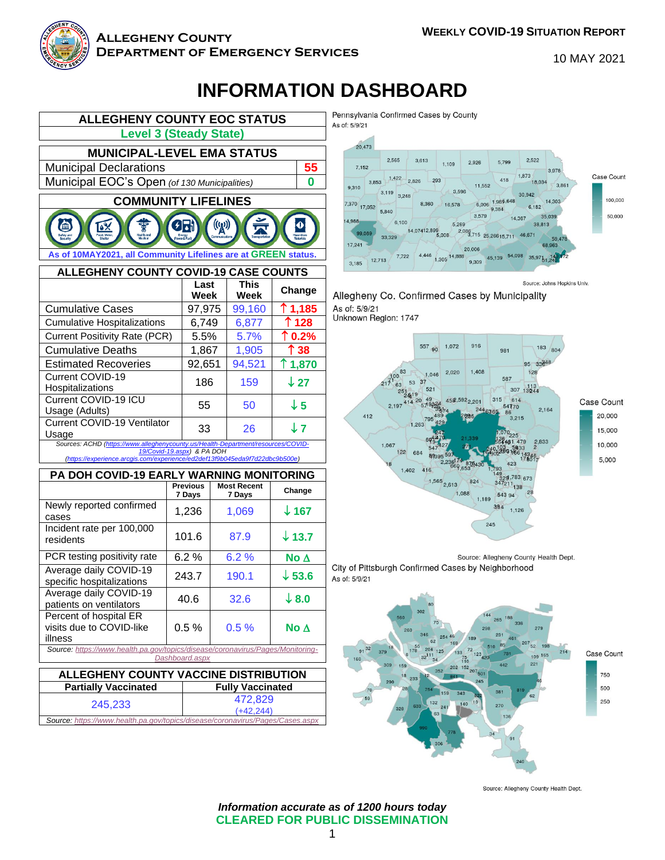

Г

#### **Allegheny County Department of Emergency Services**

10 MAY 2021

# **INFORMATION DASHBOARD**



**MUNICIPAL-LEVEL EMA STATUS**

Municipal Declarations **55** Municipal EOC's Open *(of 130 Municipalities)* **0**



| ALLEGHENY COUNTY COVID-19 CASE COUNTS                                                                          |              |                     |                  |  |
|----------------------------------------------------------------------------------------------------------------|--------------|---------------------|------------------|--|
|                                                                                                                | Last<br>Week | <b>This</b><br>Week | Change           |  |
| <b>Cumulative Cases</b>                                                                                        | 97,975       | 99,160              | $\uparrow$ 1,185 |  |
| <b>Cumulative Hospitalizations</b>                                                                             | 6.749        | 6,877               | ↑128             |  |
| <b>Current Positivity Rate (PCR)</b>                                                                           | 5.5%         | 5.7%                | $\uparrow$ 0.2%  |  |
| <b>Cumulative Deaths</b>                                                                                       | 1,867        | 1,905               | ↑ 38             |  |
| <b>Estimated Recoveries</b>                                                                                    | 92,651       | 94,521              | ↑1,870           |  |
| Current COVID-19<br>Hospitalizations                                                                           | 186          | 159                 | $\downarrow$ 27  |  |
| Current COVID-19 ICU<br>Usage (Adults)                                                                         | 55           | 50                  | $\downarrow$ 5   |  |
| <b>Current COVID-19 Ventilator</b><br>Usage                                                                    | 33           | 26                  | J 7              |  |
| Sources: ACHD (https://www.alleghenycounty.us/Health-Department/resources/COVID-<br>19/Covid-19.aspx) & PA DOH |              |                     |                  |  |

#### *[\(https://experience.arcgis.com/experience/ed2def13f9b045eda9f7d22dbc9b500e\)](https://experience.arcgis.com/experience/ed2def13f9b045eda9f7d22dbc9b500e)* **PA DOH COVID-19 EARLY WARNING MONITORING**

| <b>, ∧ DUII UU VID⊟J LAI\</b><br>טווווטוווטוווט                                |                           |                              |                   |  |  |
|--------------------------------------------------------------------------------|---------------------------|------------------------------|-------------------|--|--|
|                                                                                | <b>Previous</b><br>7 Days | <b>Most Recent</b><br>7 Days | Change            |  |  |
| Newly reported confirmed<br>cases                                              | 1,236                     | 1,069                        | $\downarrow$ 167  |  |  |
| Incident rate per 100,000<br>residents                                         | 101.6                     | 87.9                         | $\downarrow$ 13.7 |  |  |
| PCR testing positivity rate                                                    | 6.2%                      | 6.2%                         | No $\Delta$       |  |  |
| Average daily COVID-19<br>specific hospitalizations                            | 243.7                     | 190.1                        | $\downarrow$ 53.6 |  |  |
| Average daily COVID-19<br>patients on ventilators                              | 40.6                      | 32.6                         | $\downarrow$ 8.0  |  |  |
| Percent of hospital ER<br>visits due to COVID-like<br>illness                  | $0.5 \%$                  | 0.5%                         | No $\Delta$       |  |  |
| Source: https://www.health.pa.gov/topics/disease/coronavirus/Pages/Monitoring- |                           |                              |                   |  |  |
| Dashboard.aspx                                                                 |                           |                              |                   |  |  |

#### **ALLEGHENY COUNTY VACCINE DISTRIBUTION**

| <b>Partially Vaccinated</b>                                                   | <b>Fully Vaccinated</b> |  |  |  |
|-------------------------------------------------------------------------------|-------------------------|--|--|--|
| 245,233                                                                       | 472.829                 |  |  |  |
|                                                                               | $(+42.244)$             |  |  |  |
| Source: https://www.health.pa.gov/topics/disease/coronavirus/Pages/Cases.aspx |                         |  |  |  |

Pennsylvania Confirmed Cases by County As of: 5/9/21



Source: Johns Hopkins Univ. Allegheny Co. Confirmed Cases by Municipality As of: 5/9/21 Unknown Region: 1747



Source: Allegheny County Health Dept. City of Pittsburgh Confirmed Cases by Neighborhood As of: 5/9/21



Source: Allegheny County Health Dept.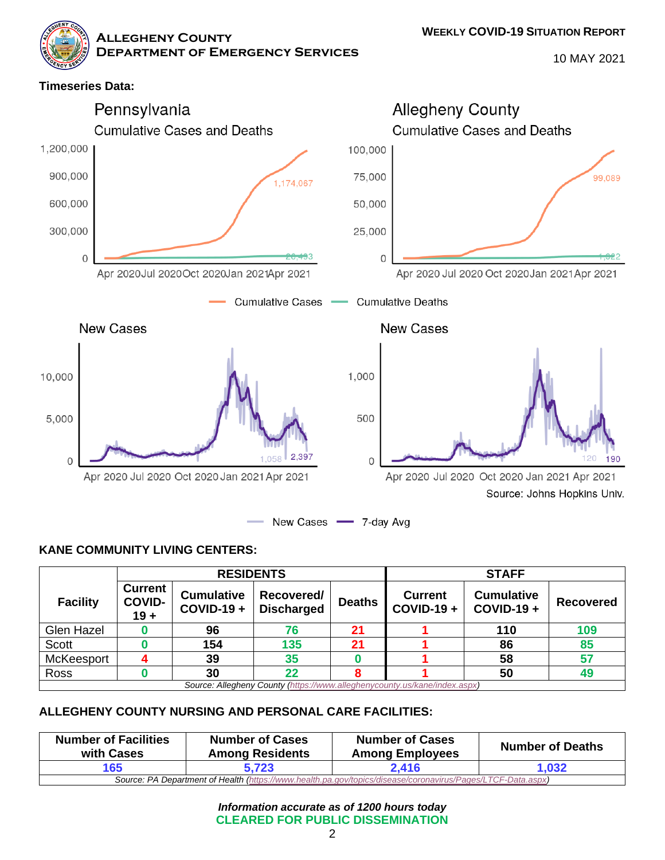**WEEKLY COVID-19 SITUATION REPORT**

**Allegheny County**

**Department of Emergency Services**

10 MAY 2021



### **KANE COMMUNITY LIVING CENTERS:**

|                                                                           | <b>RESIDENTS</b>                          |                                        |                                 | <b>STAFF</b>  |                                |                                   |                  |
|---------------------------------------------------------------------------|-------------------------------------------|----------------------------------------|---------------------------------|---------------|--------------------------------|-----------------------------------|------------------|
| <b>Facility</b>                                                           | <b>Current</b><br><b>COVID-</b><br>$19 +$ | <b>Cumulative</b><br><b>COVID-19 +</b> | Recovered/<br><b>Discharged</b> | <b>Deaths</b> | <b>Current</b><br>$COVID-19 +$ | <b>Cumulative</b><br>$COVID-19 +$ | <b>Recovered</b> |
| Glen Hazel                                                                |                                           | 96                                     | 76                              | 21            |                                | 110                               | 109              |
| <b>Scott</b>                                                              |                                           | 154                                    | 135                             | 21            |                                | 86                                | 85               |
| McKeesport                                                                |                                           | 39                                     | 35                              |               |                                | 58                                | 57               |
| Ross                                                                      |                                           | 30                                     | 22                              |               |                                | 50                                | 49               |
| Source: Allegheny County (https://www.alleghenycounty.us/kane/index.aspx) |                                           |                                        |                                 |               |                                |                                   |                  |

### **ALLEGHENY COUNTY NURSING AND PERSONAL CARE FACILITIES:**

| <b>Number of Facilities</b><br>with Cases                                                                   | <b>Number of Cases</b><br><b>Among Residents</b> | <b>Number of Cases</b><br><b>Among Employees</b> | <b>Number of Deaths</b> |  |
|-------------------------------------------------------------------------------------------------------------|--------------------------------------------------|--------------------------------------------------|-------------------------|--|
| 165                                                                                                         | 5.723                                            | 2.416                                            | 1.032                   |  |
| Source: PA Department of Health (https://www.health.pa.gov/topics/disease/coronavirus/Pages/LTCF-Data.aspx) |                                                  |                                                  |                         |  |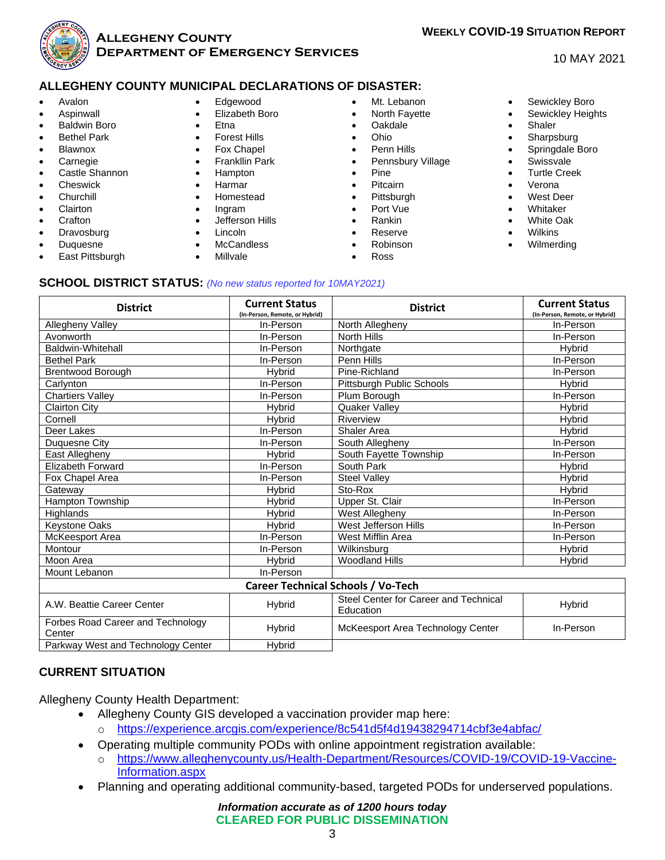

#### **Allegheny County Department of Emergency Services**

## **WEEKLY COVID-19 SITUATION REPORT**

#### 10 MAY 2021

#### **ALLEGHENY COUNTY MUNICIPAL DECLARATIONS OF DISASTER:**

- Avalon
- **Aspinwall**
- Baldwin Boro
- **Bethel Park**
- **Blawnox**
- **Carnegie**
- Castle Shannon
- **Cheswick**
- **Churchill**
- **Clairton**
- **Crafton**
- **Dravosburg**
- Duquesne
- East Pittsburgh
- Edgewood
- Elizabeth Boro
- Etna
- **Forest Hills**
- Fox Chapel
- Frankllin Park
- Hampton
- Harmar
- Homestead
- Ingram
- Jefferson Hills
- Lincoln
- **McCandless**
- Millvale
- Mt. Lebanon
- North Fayette
- Oakdale
- Ohio
- Penn Hills
- Pennsbury Village
- Pine
- Pitcairn
- **Pittsburgh**
- Port Vue
- Rankin
- Reserve • Robinson
- Ross
- Sewickley Boro
- Sewickley Heights
- Shaler
- **Sharpsburg**
- Springdale Boro
- **Swissvale**
- Turtle Creek
- Verona
- West Deer
- **Whitaker**
- White Oak
- **Wilkins**
- Wilmerding

#### **SCHOOL DISTRICT STATUS:** *(No new status reported for 10MAY2021)*

| <b>District</b>                             | <b>Current Status</b><br>(In-Person, Remote, or Hybrid) | <b>District</b>                                              | <b>Current Status</b><br>(In-Person, Remote, or Hybrid) |  |  |  |
|---------------------------------------------|---------------------------------------------------------|--------------------------------------------------------------|---------------------------------------------------------|--|--|--|
| Allegheny Valley                            | In-Person                                               | North Allegheny                                              | In-Person                                               |  |  |  |
| Avonworth                                   | In-Person                                               | North Hills                                                  | In-Person                                               |  |  |  |
| Baldwin-Whitehall                           | In-Person                                               | Northgate                                                    | Hybrid                                                  |  |  |  |
| <b>Bethel Park</b>                          | In-Person                                               | Penn Hills                                                   | In-Person                                               |  |  |  |
| <b>Brentwood Borough</b>                    | Hybrid                                                  | Pine-Richland                                                | In-Person                                               |  |  |  |
| Carlynton                                   | In-Person                                               | Pittsburgh Public Schools                                    | <b>H</b> vbrid                                          |  |  |  |
| <b>Chartiers Valley</b>                     | In-Person                                               | Plum Borough                                                 | In-Person                                               |  |  |  |
| <b>Clairton City</b>                        | <b>Hybrid</b>                                           | Quaker Valley                                                | Hybrid                                                  |  |  |  |
| Cornell                                     | Hybrid                                                  | Riverview                                                    | <b>H</b> vbrid                                          |  |  |  |
| Deer Lakes                                  | In-Person                                               | Shaler Area                                                  | Hybrid                                                  |  |  |  |
| Duquesne City                               | In-Person                                               | South Allegheny                                              | In-Person                                               |  |  |  |
| East Allegheny                              | Hybrid                                                  | South Fayette Township                                       | In-Person                                               |  |  |  |
| <b>Elizabeth Forward</b>                    | In-Person                                               | South Park                                                   | Hybrid                                                  |  |  |  |
| Fox Chapel Area                             | In-Person                                               | <b>Steel Valley</b>                                          | <b>H</b> vbrid                                          |  |  |  |
| Gateway                                     | <b>Hybrid</b>                                           | Sto-Rox                                                      | Hybrid                                                  |  |  |  |
| Hampton Township                            | Hybrid                                                  | Upper St. Clair                                              | In-Person                                               |  |  |  |
| Highlands                                   | Hybrid                                                  | West Allegheny                                               | In-Person                                               |  |  |  |
| Keystone Oaks                               | Hybrid                                                  | West Jefferson Hills                                         | In-Person                                               |  |  |  |
| McKeesport Area                             | In-Person                                               | West Mifflin Area                                            | In-Person                                               |  |  |  |
| Montour                                     | In-Person                                               | Wilkinsburg                                                  | Hybrid                                                  |  |  |  |
| Moon Area                                   | Hybrid                                                  | <b>Woodland Hills</b>                                        | <b>H</b> vbrid                                          |  |  |  |
| Mount Lebanon                               | In-Person                                               |                                                              |                                                         |  |  |  |
| <b>Career Technical Schools / Vo-Tech</b>   |                                                         |                                                              |                                                         |  |  |  |
| A.W. Beattie Career Center                  | <b>Hybrid</b>                                           | Steel Center for Career and Technical<br>Hybrid<br>Education |                                                         |  |  |  |
| Forbes Road Career and Technology<br>Center | <b>Hybrid</b>                                           | McKeesport Area Technology Center                            | In-Person                                               |  |  |  |

#### **CURRENT SITUATION**

Allegheny County Health Department:

Parkway West and Technology Center | Hybrid

- Allegheny County GIS developed a vaccination provider map here:
	- o <https://experience.arcgis.com/experience/8c541d5f4d19438294714cbf3e4abfac/>
- Operating multiple community PODs with online appointment registration available:
	- o [https://www.alleghenycounty.us/Health-Department/Resources/COVID-19/COVID-19-Vaccine-](https://www.alleghenycounty.us/Health-Department/Resources/COVID-19/COVID-19-Vaccine-Information.aspx)[Information.aspx](https://www.alleghenycounty.us/Health-Department/Resources/COVID-19/COVID-19-Vaccine-Information.aspx)
- Planning and operating additional community-based, targeted PODs for underserved populations.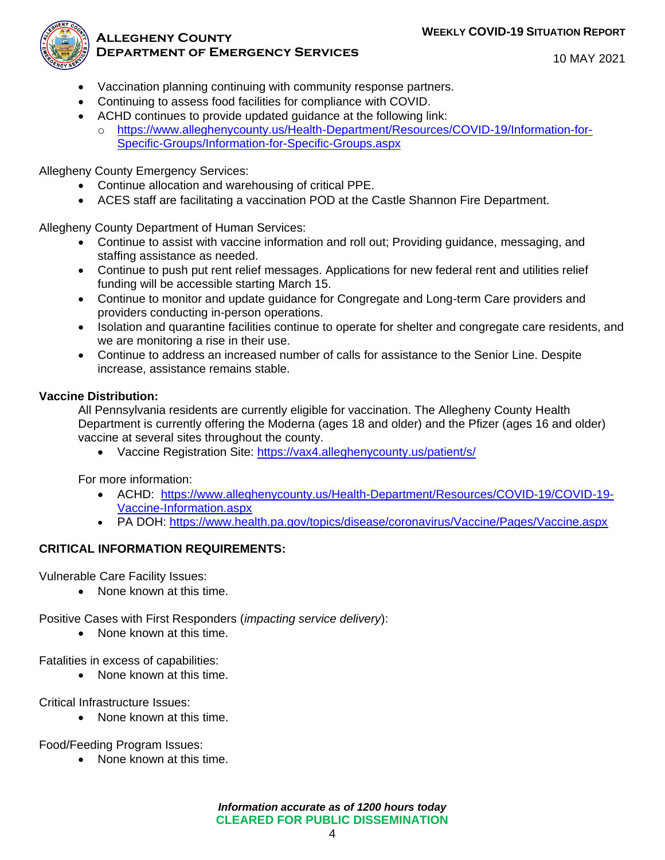#### **WEEKLY COVID-19 SITUATION REPORT**



#### **Allegheny County Department of Emergency Services**

10 MAY 2021

- Vaccination planning continuing with community response partners.
- Continuing to assess food facilities for compliance with COVID.
- ACHD continues to provide updated guidance at the following link:
- o [https://www.alleghenycounty.us/Health-Department/Resources/COVID-19/Information-for-](https://www.alleghenycounty.us/Health-Department/Resources/COVID-19/Information-for-Specific-Groups/Information-for-Specific-Groups.aspx)[Specific-Groups/Information-for-Specific-Groups.aspx](https://www.alleghenycounty.us/Health-Department/Resources/COVID-19/Information-for-Specific-Groups/Information-for-Specific-Groups.aspx)

Allegheny County Emergency Services:

- Continue allocation and warehousing of critical PPE.
- ACES staff are facilitating a vaccination POD at the Castle Shannon Fire Department.

Allegheny County Department of Human Services:

- Continue to assist with vaccine information and roll out; Providing guidance, messaging, and staffing assistance as needed.
- Continue to push put rent relief messages. Applications for new federal rent and utilities relief funding will be accessible starting March 15.
- Continue to monitor and update guidance for Congregate and Long-term Care providers and providers conducting in-person operations.
- Isolation and quarantine facilities continue to operate for shelter and congregate care residents, and we are monitoring a rise in their use.
- Continue to address an increased number of calls for assistance to the Senior Line. Despite increase, assistance remains stable.

### **Vaccine Distribution:**

All Pennsylvania residents are currently eligible for vaccination. The Allegheny County Health Department is currently offering the Moderna (ages 18 and older) and the Pfizer (ages 16 and older) vaccine at several sites throughout the county.

• Vaccine Registration Site:<https://vax4.alleghenycounty.us/patient/s/>

For more information:

- ACHD: [https://www.alleghenycounty.us/Health-Department/Resources/COVID-19/COVID-19-](https://www.alleghenycounty.us/Health-Department/Resources/COVID-19/COVID-19-Vaccine-Information.aspx) [Vaccine-Information.aspx](https://www.alleghenycounty.us/Health-Department/Resources/COVID-19/COVID-19-Vaccine-Information.aspx)
- PA DOH:<https://www.health.pa.gov/topics/disease/coronavirus/Vaccine/Pages/Vaccine.aspx>

### **CRITICAL INFORMATION REQUIREMENTS:**

Vulnerable Care Facility Issues:

• None known at this time.

Positive Cases with First Responders (*impacting service delivery*):

• None known at this time.

Fatalities in excess of capabilities:

• None known at this time.

Critical Infrastructure Issues:

• None known at this time.

Food/Feeding Program Issues:

• None known at this time.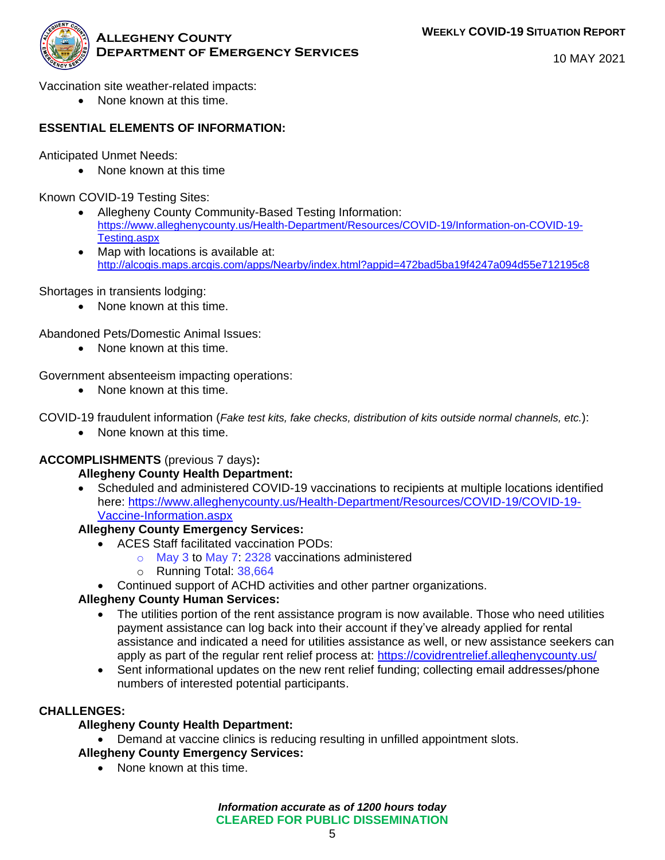

10 MAY 2021

Vaccination site weather-related impacts:

• None known at this time.

### **ESSENTIAL ELEMENTS OF INFORMATION:**

Anticipated Unmet Needs:

• None known at this time

Known COVID-19 Testing Sites:

- Allegheny County Community-Based Testing Information: [https://www.alleghenycounty.us/Health-Department/Resources/COVID-19/Information-on-COVID-19-](https://www.alleghenycounty.us/Health-Department/Resources/COVID-19/Information-on-COVID-19-Testing.aspx) [Testing.aspx](https://www.alleghenycounty.us/Health-Department/Resources/COVID-19/Information-on-COVID-19-Testing.aspx)
- Map with locations is available at: <http://alcogis.maps.arcgis.com/apps/Nearby/index.html?appid=472bad5ba19f4247a094d55e712195c8>

Shortages in transients lodging:

• None known at this time.

Abandoned Pets/Domestic Animal Issues:

• None known at this time.

Government absenteeism impacting operations:

• None known at this time.

COVID-19 fraudulent information (*Fake test kits, fake checks, distribution of kits outside normal channels, etc.*):

• None known at this time.

### **ACCOMPLISHMENTS** (previous 7 days)**:**

### **Allegheny County Health Department:**

• Scheduled and administered COVID-19 vaccinations to recipients at multiple locations identified here: [https://www.alleghenycounty.us/Health-Department/Resources/COVID-19/COVID-19-](https://www.alleghenycounty.us/Health-Department/Resources/COVID-19/COVID-19-Vaccine-Information.aspx) [Vaccine-Information.aspx](https://www.alleghenycounty.us/Health-Department/Resources/COVID-19/COVID-19-Vaccine-Information.aspx)

### **Allegheny County Emergency Services:**

- ACES Staff facilitated vaccination PODs:
	- o May 3 to May 7: 2328 vaccinations administered
	- o Running Total: 38,664
- Continued support of ACHD activities and other partner organizations.

### **Allegheny County Human Services:**

- The utilities portion of the rent assistance program is now available. Those who need utilities payment assistance can log back into their account if they've already applied for rental assistance and indicated a need for utilities assistance as well, or new assistance seekers can apply as part of the regular rent relief process at:<https://covidrentrelief.alleghenycounty.us/>
- Sent informational updates on the new rent relief funding; collecting email addresses/phone numbers of interested potential participants.

#### **CHALLENGES:**

### **Allegheny County Health Department:**

• Demand at vaccine clinics is reducing resulting in unfilled appointment slots.

### **Allegheny County Emergency Services:**

• None known at this time.